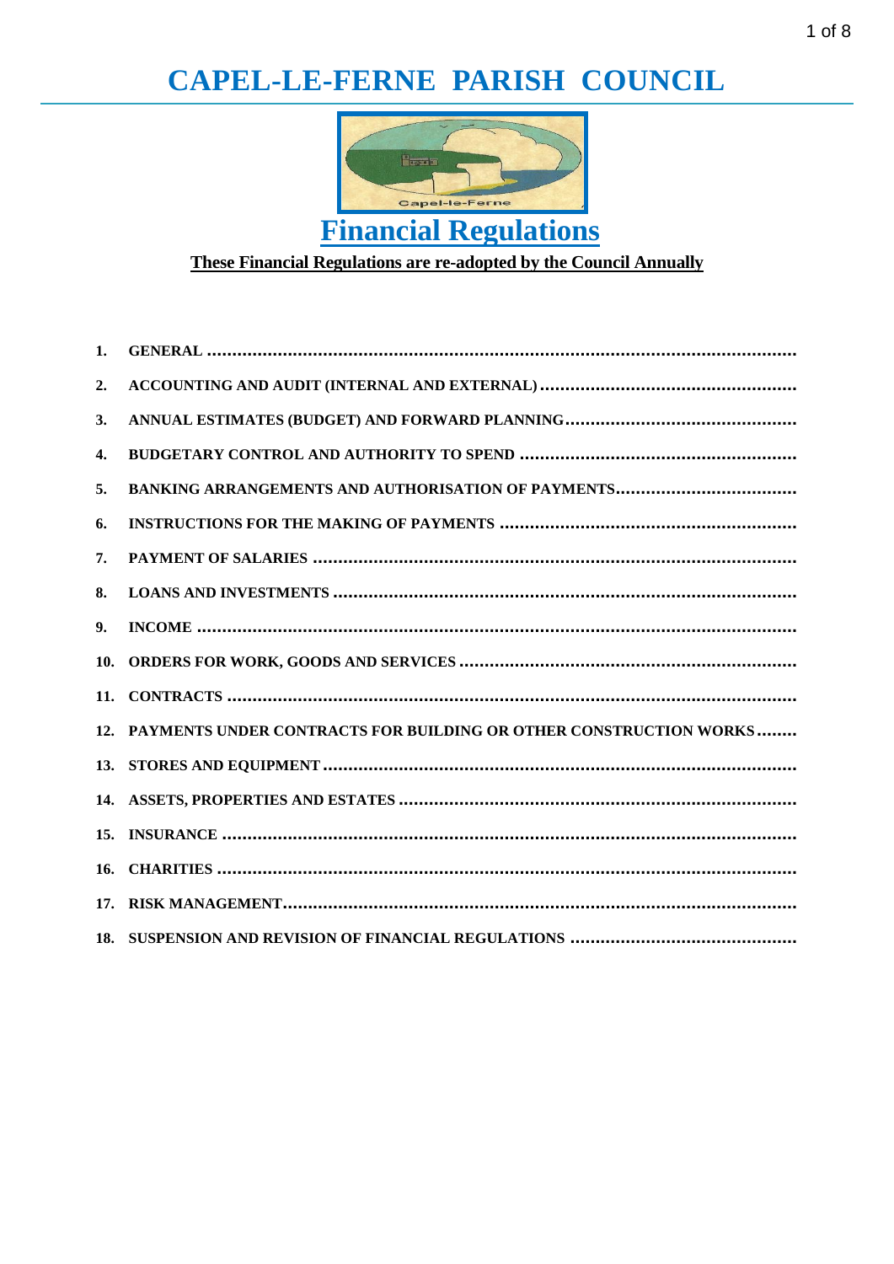# CAPEL-LE-FERNE PARISH COUNCIL



These Financial Regulations are re-adopted by the Council Annually

| 1. |                                                                       |
|----|-----------------------------------------------------------------------|
| 2. |                                                                       |
| 3. |                                                                       |
| 4. |                                                                       |
| 5. |                                                                       |
| 6. |                                                                       |
| 7. |                                                                       |
| 8. |                                                                       |
| 9. |                                                                       |
|    |                                                                       |
|    |                                                                       |
|    | 12. PAYMENTS UNDER CONTRACTS FOR BUILDING OR OTHER CONSTRUCTION WORKS |
|    |                                                                       |
|    |                                                                       |
|    |                                                                       |
|    |                                                                       |
|    |                                                                       |
|    |                                                                       |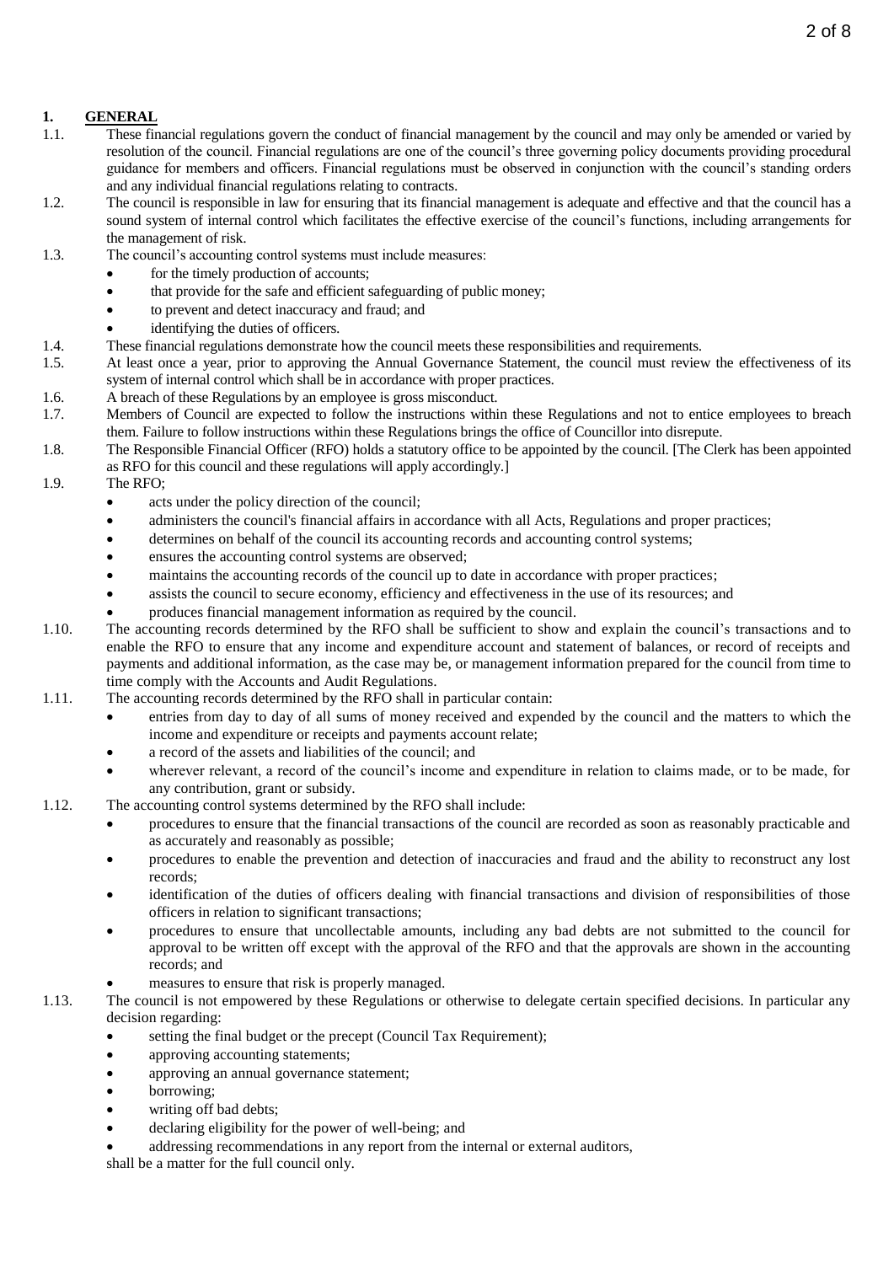# <span id="page-1-0"></span>**1. GENERAL**

- 1.1. These financial regulations govern the conduct of financial management by the council and may only be amended or varied by resolution of the council. Financial regulations are one of the council's three governing policy documents providing procedural guidance for members and officers. Financial regulations must be observed in conjunction with the council's standing orders and any individual financial regulations relating to contracts.
- 1.2. The council is responsible in law for ensuring that its financial management is adequate and effective and that the council has a sound system of internal control which facilitates the effective exercise of the council's functions, including arrangements for the management of risk.
- 1.3. The council's accounting control systems must include measures:
	- for the timely production of accounts;
	- that provide for the safe and efficient safeguarding of public money;
	- to prevent and detect inaccuracy and fraud; and
	- identifying the duties of officers.
- 1.4. These financial regulations demonstrate how the council meets these responsibilities and requirements.
- 1.5. At least once a year, prior to approving the Annual Governance Statement, the council must review the effectiveness of its system of internal control which shall be in accordance with proper practices.
- 1.6. A breach of these Regulations by an employee is gross misconduct.
- 1.7. Members of Council are expected to follow the instructions within these Regulations and not to entice employees to breach them. Failure to follow instructions within these Regulations brings the office of Councillor into disrepute.
- 1.8. The Responsible Financial Officer (RFO) holds a statutory office to be appointed by the council. [The Clerk has been appointed as RFO for this council and these regulations will apply accordingly.]
- 1.9. The RFO;
	- acts under the policy direction of the council;
	- administers the council's financial affairs in accordance with all Acts, Regulations and proper practices;
	- determines on behalf of the council its accounting records and accounting control systems;
	- ensures the accounting control systems are observed;
	- maintains the accounting records of the council up to date in accordance with proper practices;
	- assists the council to secure economy, efficiency and effectiveness in the use of its resources; and
	- produces financial management information as required by the council.
- 1.10. The accounting records determined by the RFO shall be sufficient to show and explain the council's transactions and to enable the RFO to ensure that any income and expenditure account and statement of balances, or record of receipts and payments and additional information, as the case may be, or management information prepared for the council from time to time comply with the Accounts and Audit Regulations.
- 1.11. The accounting records determined by the RFO shall in particular contain:
	- entries from day to day of all sums of money received and expended by the council and the matters to which the income and expenditure or receipts and payments account relate;
	- a record of the assets and liabilities of the council; and
	- wherever relevant, a record of the council's income and expenditure in relation to claims made, or to be made, for any contribution, grant or subsidy.
- 1.12. The accounting control systems determined by the RFO shall include:
	- procedures to ensure that the financial transactions of the council are recorded as soon as reasonably practicable and as accurately and reasonably as possible;
	- procedures to enable the prevention and detection of inaccuracies and fraud and the ability to reconstruct any lost records;
	- identification of the duties of officers dealing with financial transactions and division of responsibilities of those officers in relation to significant transactions;
	- procedures to ensure that uncollectable amounts, including any bad debts are not submitted to the council for approval to be written off except with the approval of the RFO and that the approvals are shown in the accounting records; and
	- measures to ensure that risk is properly managed.
- 1.13. The council is not empowered by these Regulations or otherwise to delegate certain specified decisions. In particular any decision regarding:
	- setting the final budget or the precept (Council Tax Requirement);
	- approving accounting statements;
	- approving an annual governance statement;
	- borrowing;
	- writing off bad debts;
	- declaring eligibility for the power of well-being; and
	- addressing recommendations in any report from the internal or external auditors,

shall be a matter for the full council only.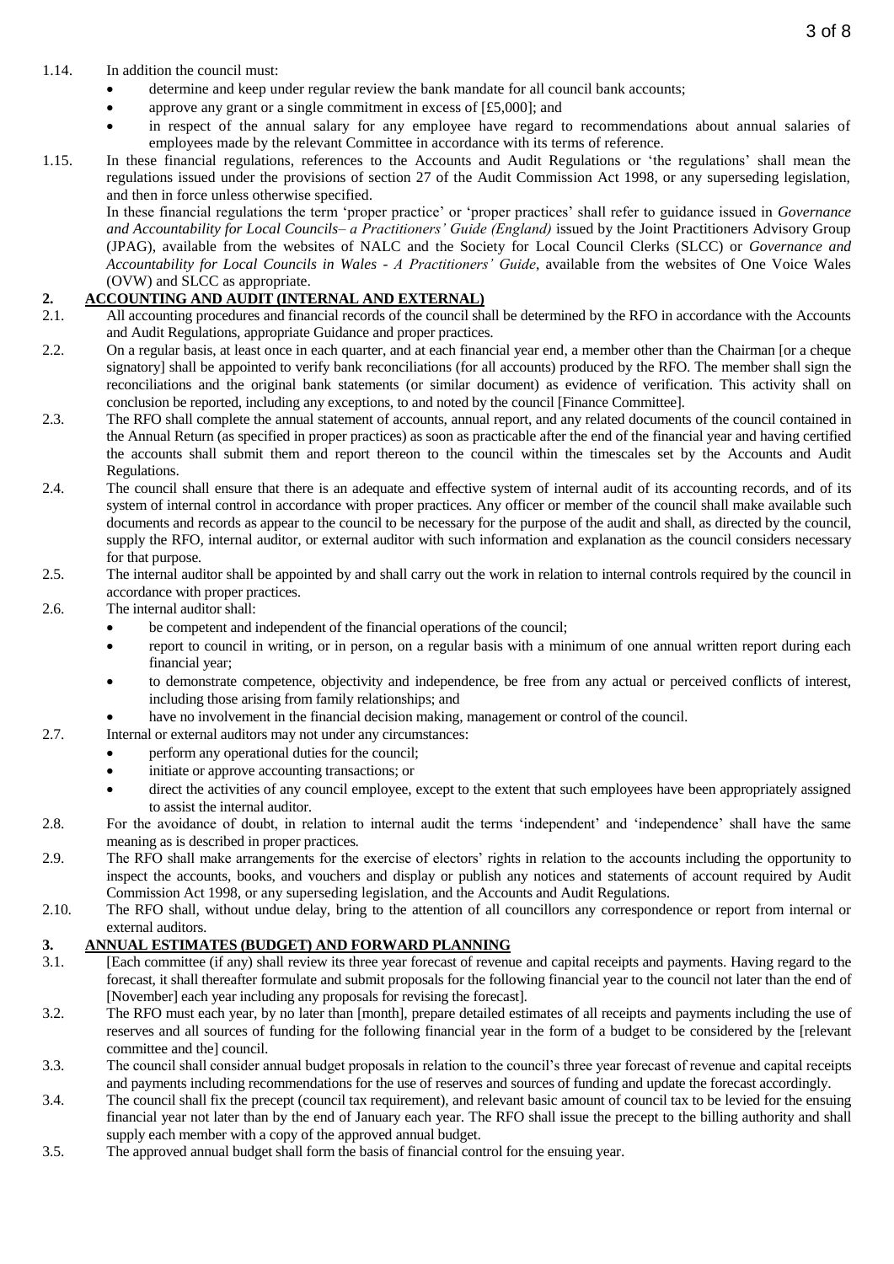- 1.14. In addition the council must:
	- determine and keep under regular review the bank mandate for all council bank accounts;
	- approve any grant or a single commitment in excess of  $[£5,000]$ ; and
	- in respect of the annual salary for any employee have regard to recommendations about annual salaries of employees made by the relevant Committee in accordance with its terms of reference.
- 1.15. In these financial regulations, references to the Accounts and Audit Regulations or 'the regulations' shall mean the regulations issued under the provisions of section 27 of the Audit Commission Act 1998, or any superseding legislation, and then in force unless otherwise specified.

In these financial regulations the term 'proper practice' or 'proper practices' shall refer to guidance issued in *Governance and Accountability for Local Councils– a Practitioners' Guide (England)* issued by the Joint Practitioners Advisory Group (JPAG), available from the websites of NALC and the Society for Local Council Clerks (SLCC) or *Governance and Accountability for Local Councils in Wales - A Practitioners' Guide*, available from the websites of One Voice Wales (OVW) and SLCC as appropriate.

# <span id="page-2-0"></span>**2. ACCOUNTING AND AUDIT (INTERNAL AND EXTERNAL)**

- 2.1. All accounting procedures and financial records of the council shall be determined by the RFO in accordance with the Accounts and Audit Regulations, appropriate Guidance and proper practices.
- 2.2. On a regular basis, at least once in each quarter, and at each financial year end, a member other than the Chairman [or a cheque signatory] shall be appointed to verify bank reconciliations (for all accounts) produced by the RFO. The member shall sign the reconciliations and the original bank statements (or similar document) as evidence of verification. This activity shall on conclusion be reported, including any exceptions, to and noted by the council [Finance Committee].
- 2.3. The RFO shall complete the annual statement of accounts, annual report, and any related documents of the council contained in the Annual Return (as specified in proper practices) as soon as practicable after the end of the financial year and having certified the accounts shall submit them and report thereon to the council within the timescales set by the Accounts and Audit Regulations.
- 2.4. The council shall ensure that there is an adequate and effective system of internal audit of its accounting records, and of its system of internal control in accordance with proper practices. Any officer or member of the council shall make available such documents and records as appear to the council to be necessary for the purpose of the audit and shall, as directed by the council, supply the RFO, internal auditor, or external auditor with such information and explanation as the council considers necessary for that purpose.
- 2.5. The internal auditor shall be appointed by and shall carry out the work in relation to internal controls required by the council in accordance with proper practices.
- 2.6. The internal auditor shall:
	- be competent and independent of the financial operations of the council;
	- report to council in writing, or in person, on a regular basis with a minimum of one annual written report during each financial year;
	- to demonstrate competence, objectivity and independence, be free from any actual or perceived conflicts of interest, including those arising from family relationships; and
	- have no involvement in the financial decision making, management or control of the council.
- 2.7. Internal or external auditors may not under any circumstances:
	- perform any operational duties for the council;
		- initiate or approve accounting transactions; or
		- direct the activities of any council employee, except to the extent that such employees have been appropriately assigned to assist the internal auditor.
- 2.8. For the avoidance of doubt, in relation to internal audit the terms 'independent' and 'independence' shall have the same meaning as is described in proper practices.
- 2.9. The RFO shall make arrangements for the exercise of electors' rights in relation to the accounts including the opportunity to inspect the accounts, books, and vouchers and display or publish any notices and statements of account required by Audit Commission Act 1998, or any superseding legislation, and the Accounts and Audit Regulations.
- 2.10. The RFO shall, without undue delay, bring to the attention of all councillors any correspondence or report from internal or external auditors.

#### <span id="page-2-1"></span>**3. ANNUAL ESTIMATES (BUDGET) AND FORWARD PLANNING**

- 3.1. [Each committee (if any) shall review its three year forecast of revenue and capital receipts and payments. Having regard to the forecast, it shall thereafter formulate and submit proposals for the following financial year to the council not later than the end of [November] each year including any proposals for revising the forecast].
- 3.2. The RFO must each year, by no later than [month], prepare detailed estimates of all receipts and payments including the use of reserves and all sources of funding for the following financial year in the form of a budget to be considered by the [relevant committee and the] council.
- 3.3. The council shall consider annual budget proposals in relation to the council's three year forecast of revenue and capital receipts and payments including recommendations for the use of reserves and sources of funding and update the forecast accordingly.
- 3.4. The council shall fix the precept (council tax requirement), and relevant basic amount of council tax to be levied for the ensuing financial year not later than by the end of January each year. The RFO shall issue the precept to the billing authority and shall supply each member with a copy of the approved annual budget.
- 3.5. The approved annual budget shall form the basis of financial control for the ensuing year.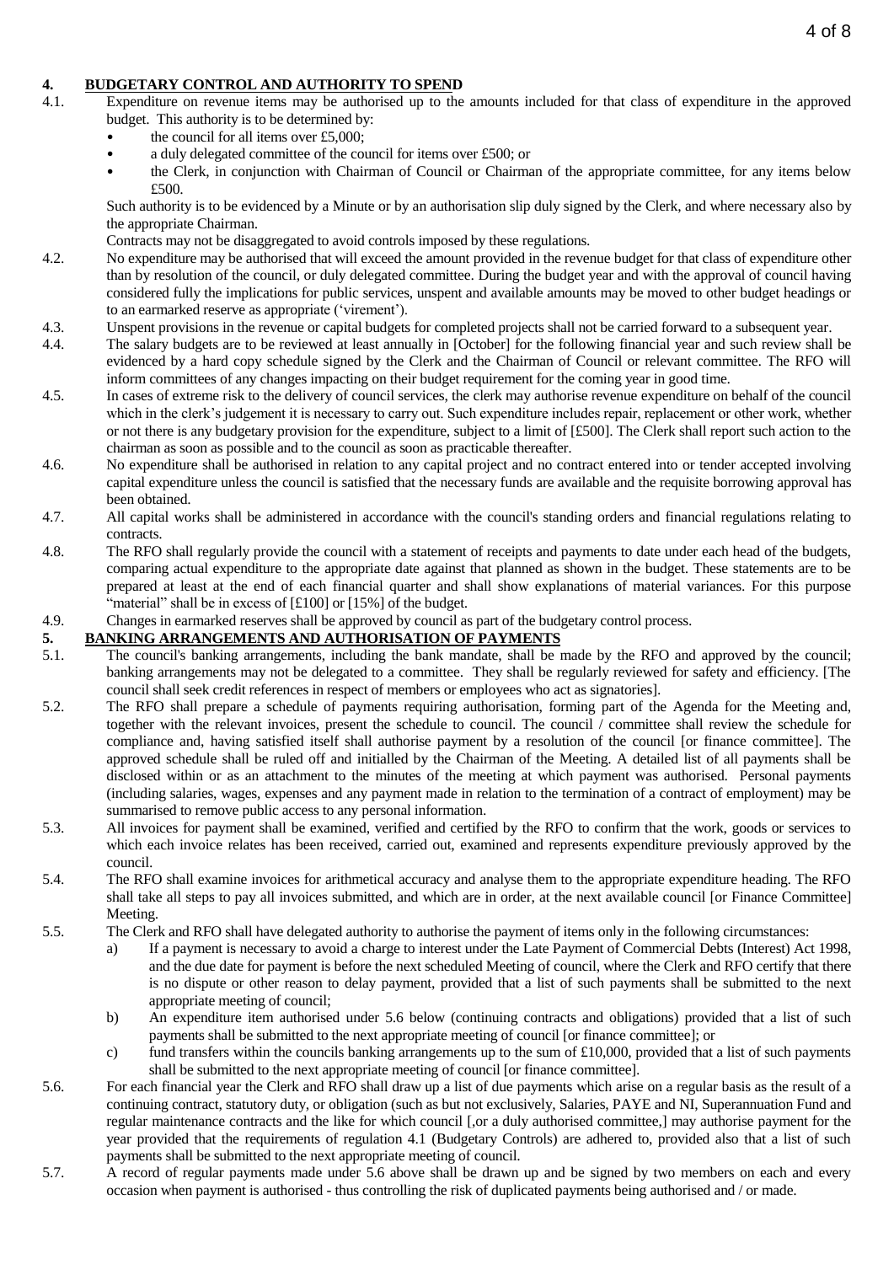# <span id="page-3-0"></span>**4. BUDGETARY CONTROL AND AUTHORITY TO SPEND**

- 4.1. Expenditure on revenue items may be authorised up to the amounts included for that class of expenditure in the approved budget. This authority is to be determined by:
	- the council for all items over  $£5,000;$
	- a duly delegated committee of the council for items over £500; or
	- the Clerk, in conjunction with Chairman of Council or Chairman of the appropriate committee, for any items below £500.

Such authority is to be evidenced by a Minute or by an authorisation slip duly signed by the Clerk, and where necessary also by the appropriate Chairman.

Contracts may not be disaggregated to avoid controls imposed by these regulations.

- 4.2. No expenditure may be authorised that will exceed the amount provided in the revenue budget for that class of expenditure other than by resolution of the council, or duly delegated committee. During the budget year and with the approval of council having considered fully the implications for public services, unspent and available amounts may be moved to other budget headings or to an earmarked reserve as appropriate ('virement').
- 4.3. Unspent provisions in the revenue or capital budgets for completed projects shall not be carried forward to a subsequent year.
- 4.4. The salary budgets are to be reviewed at least annually in [October] for the following financial year and such review shall be evidenced by a hard copy schedule signed by the Clerk and the Chairman of Council or relevant committee. The RFO will inform committees of any changes impacting on their budget requirement for the coming year in good time.
- 4.5. In cases of extreme risk to the delivery of council services, the clerk may authorise revenue expenditure on behalf of the council which in the clerk's judgement it is necessary to carry out. Such expenditure includes repair, replacement or other work, whether or not there is any budgetary provision for the expenditure, subject to a limit of [£500]. The Clerk shall report such action to the chairman as soon as possible and to the council as soon as practicable thereafter.
- 4.6. No expenditure shall be authorised in relation to any capital project and no contract entered into or tender accepted involving capital expenditure unless the council is satisfied that the necessary funds are available and the requisite borrowing approval has been obtained.
- 4.7. All capital works shall be administered in accordance with the council's standing orders and financial regulations relating to contracts.
- 4.8. The RFO shall regularly provide the council with a statement of receipts and payments to date under each head of the budgets, comparing actual expenditure to the appropriate date against that planned as shown in the budget. These statements are to be prepared at least at the end of each financial quarter and shall show explanations of material variances. For this purpose "material" shall be in excess of [£100] or [15%] of the budget.
- 4.9. Changes in earmarked reserves shall be approved by council as part of the budgetary control process.

## <span id="page-3-1"></span>**5. BANKING ARRANGEMENTS AND AUTHORISATION OF PAYMENTS**

- 5.1. The council's banking arrangements, including the bank mandate, shall be made by the RFO and approved by the council; banking arrangements may not be delegated to a committee. They shall be regularly reviewed for safety and efficiency. [The council shall seek credit references in respect of members or employees who act as signatories].
- 5.2. The RFO shall prepare a schedule of payments requiring authorisation, forming part of the Agenda for the Meeting and, together with the relevant invoices, present the schedule to council. The council / committee shall review the schedule for compliance and, having satisfied itself shall authorise payment by a resolution of the council [or finance committee]. The approved schedule shall be ruled off and initialled by the Chairman of the Meeting. A detailed list of all payments shall be disclosed within or as an attachment to the minutes of the meeting at which payment was authorised. Personal payments (including salaries, wages, expenses and any payment made in relation to the termination of a contract of employment) may be summarised to remove public access to any personal information.
- 5.3. All invoices for payment shall be examined, verified and certified by the RFO to confirm that the work, goods or services to which each invoice relates has been received, carried out, examined and represents expenditure previously approved by the council.
- 5.4. The RFO shall examine invoices for arithmetical accuracy and analyse them to the appropriate expenditure heading. The RFO shall take all steps to pay all invoices submitted, and which are in order, at the next available council [or Finance Committee] Meeting.
- 5.5. The Clerk and RFO shall have delegated authority to authorise the payment of items only in the following circumstances:
	- a) If a payment is necessary to avoid a charge to interest under the Late Payment of Commercial Debts (Interest) Act 1998, and the due date for payment is before the next scheduled Meeting of council, where the Clerk and RFO certify that there is no dispute or other reason to delay payment, provided that a list of such payments shall be submitted to the next appropriate meeting of council;
	- b) An expenditure item authorised under 5.6 below (continuing contracts and obligations) provided that a list of such payments shall be submitted to the next appropriate meeting of council [or finance committee]; or
	- c) fund transfers within the councils banking arrangements up to the sum of  $\pounds10,000$ , provided that a list of such payments shall be submitted to the next appropriate meeting of council [or finance committee].
- 5.6. For each financial year the Clerk and RFO shall draw up a list of due payments which arise on a regular basis as the result of a continuing contract, statutory duty, or obligation (such as but not exclusively, Salaries, PAYE and NI, Superannuation Fund and regular maintenance contracts and the like for which council [,or a duly authorised committee,] may authorise payment for the year provided that the requirements of regulation 4.1 (Budgetary Controls) are adhered to, provided also that a list of such payments shall be submitted to the next appropriate meeting of council.
- 5.7. A record of regular payments made under 5.6 above shall be drawn up and be signed by two members on each and every occasion when payment is authorised - thus controlling the risk of duplicated payments being authorised and / or made.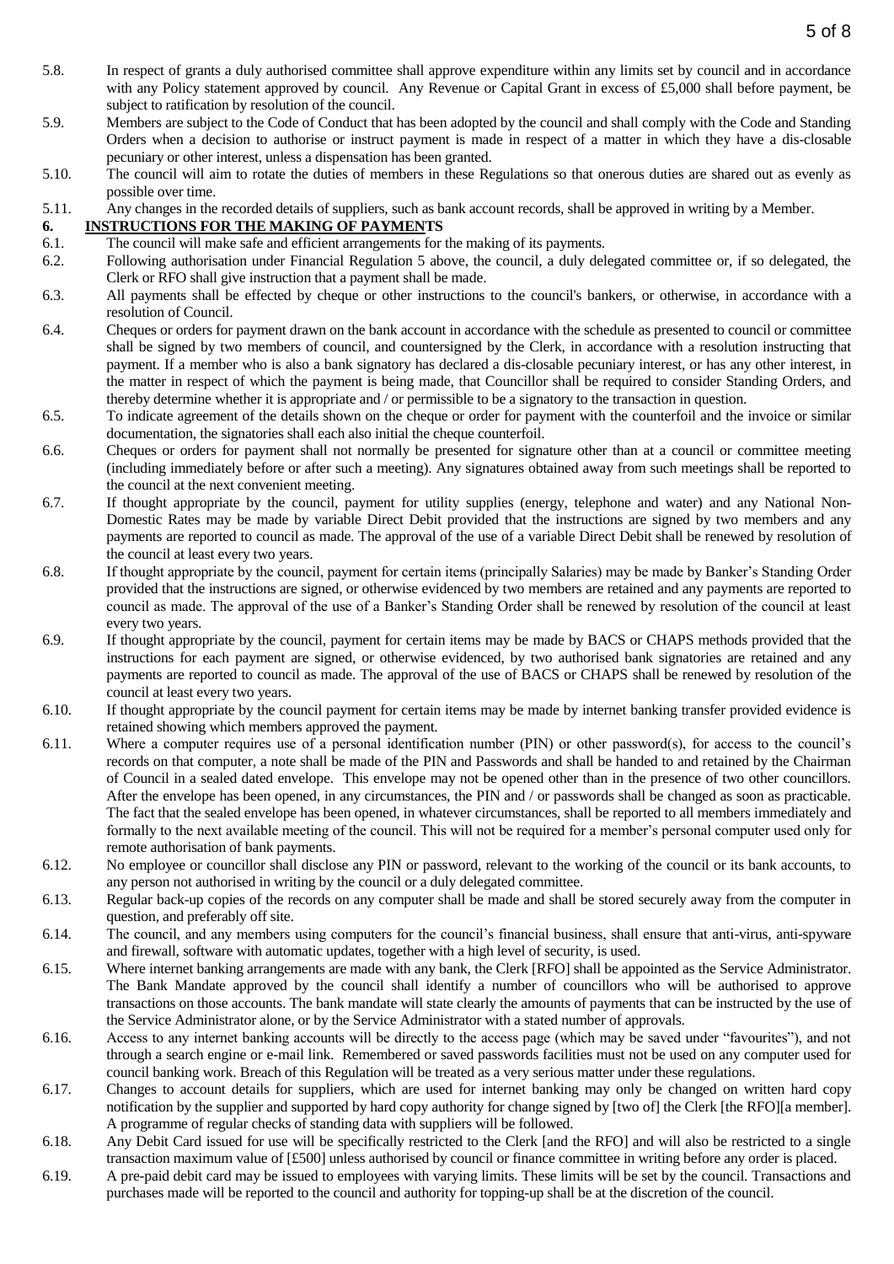- 5.8. In respect of grants a duly authorised committee shall approve expenditure within any limits set by council and in accordance with any Policy statement approved by council. Any Revenue or Capital Grant in excess of £5,000 shall before payment, be subject to ratification by resolution of the council.
- 5.9. Members are subject to the Code of Conduct that has been adopted by the council and shall comply with the Code and Standing Orders when a decision to authorise or instruct payment is made in respect of a matter in which they have a dis-closable pecuniary or other interest, unless a dispensation has been granted.
- 5.10. The council will aim to rotate the duties of members in these Regulations so that onerous duties are shared out as evenly as possible over time.
- 5.11. Any changes in the recorded details of suppliers, such as bank account records, shall be approved in writing by a Member.

#### <span id="page-4-0"></span>**6. INSTRUCTIONS FOR THE MAKING OF PAYMENTS**

- 6.1. The council will make safe and efficient arrangements for the making of its payments.
- 6.2. Following authorisation under Financial Regulation 5 above, the council, a duly delegated committee or, if so delegated, the Clerk or RFO shall give instruction that a payment shall be made.
- 6.3. All payments shall be effected by cheque or other instructions to the council's bankers, or otherwise, in accordance with a resolution of Council.
- 6.4. Cheques or orders for payment drawn on the bank account in accordance with the schedule as presented to council or committee shall be signed by two members of council, and countersigned by the Clerk, in accordance with a resolution instructing that payment. If a member who is also a bank signatory has declared a dis-closable pecuniary interest, or has any other interest, in the matter in respect of which the payment is being made, that Councillor shall be required to consider Standing Orders, and thereby determine whether it is appropriate and / or permissible to be a signatory to the transaction in question.
- 6.5. To indicate agreement of the details shown on the cheque or order for payment with the counterfoil and the invoice or similar documentation, the signatories shall each also initial the cheque counterfoil.
- 6.6. Cheques or orders for payment shall not normally be presented for signature other than at a council or committee meeting (including immediately before or after such a meeting). Any signatures obtained away from such meetings shall be reported to the council at the next convenient meeting.
- 6.7. If thought appropriate by the council, payment for utility supplies (energy, telephone and water) and any National Non-Domestic Rates may be made by variable Direct Debit provided that the instructions are signed by two members and any payments are reported to council as made. The approval of the use of a variable Direct Debit shall be renewed by resolution of the council at least every two years.
- 6.8. If thought appropriate by the council, payment for certain items (principally Salaries) may be made by Banker's Standing Order provided that the instructions are signed, or otherwise evidenced by two members are retained and any payments are reported to council as made. The approval of the use of a Banker's Standing Order shall be renewed by resolution of the council at least every two years.
- 6.9. If thought appropriate by the council, payment for certain items may be made by BACS or CHAPS methods provided that the instructions for each payment are signed, or otherwise evidenced, by two authorised bank signatories are retained and any payments are reported to council as made. The approval of the use of BACS or CHAPS shall be renewed by resolution of the council at least every two years.
- 6.10. If thought appropriate by the council payment for certain items may be made by internet banking transfer provided evidence is retained showing which members approved the payment.
- 6.11. Where a computer requires use of a personal identification number (PIN) or other password(s), for access to the council's records on that computer, a note shall be made of the PIN and Passwords and shall be handed to and retained by the Chairman of Council in a sealed dated envelope. This envelope may not be opened other than in the presence of two other councillors. After the envelope has been opened, in any circumstances, the PIN and / or passwords shall be changed as soon as practicable. The fact that the sealed envelope has been opened, in whatever circumstances, shall be reported to all members immediately and formally to the next available meeting of the council. This will not be required for a member's personal computer used only for remote authorisation of bank payments.
- 6.12. No employee or councillor shall disclose any PIN or password, relevant to the working of the council or its bank accounts, to any person not authorised in writing by the council or a duly delegated committee.
- 6.13. Regular back-up copies of the records on any computer shall be made and shall be stored securely away from the computer in question, and preferably off site.
- 6.14. The council, and any members using computers for the council's financial business, shall ensure that anti-virus, anti-spyware and firewall, software with automatic updates, together with a high level of security, is used.
- 6.15. Where internet banking arrangements are made with any bank, the Clerk [RFO] shall be appointed as the Service Administrator. The Bank Mandate approved by the council shall identify a number of councillors who will be authorised to approve transactions on those accounts. The bank mandate will state clearly the amounts of payments that can be instructed by the use of the Service Administrator alone, or by the Service Administrator with a stated number of approvals.
- 6.16. Access to any internet banking accounts will be directly to the access page (which may be saved under "favourites"), and not through a search engine or e-mail link. Remembered or saved passwords facilities must not be used on any computer used for council banking work. Breach of this Regulation will be treated as a very serious matter under these regulations.
- 6.17. Changes to account details for suppliers, which are used for internet banking may only be changed on written hard copy notification by the supplier and supported by hard copy authority for change signed by [two of] the Clerk [the RFO][a member]. A programme of regular checks of standing data with suppliers will be followed.
- 6.18. Any Debit Card issued for use will be specifically restricted to the Clerk [and the RFO] and will also be restricted to a single transaction maximum value of [£500] unless authorised by council or finance committee in writing before any order is placed.
- 6.19. A pre-paid debit card may be issued to employees with varying limits. These limits will be set by the council. Transactions and purchases made will be reported to the council and authority for topping-up shall be at the discretion of the council.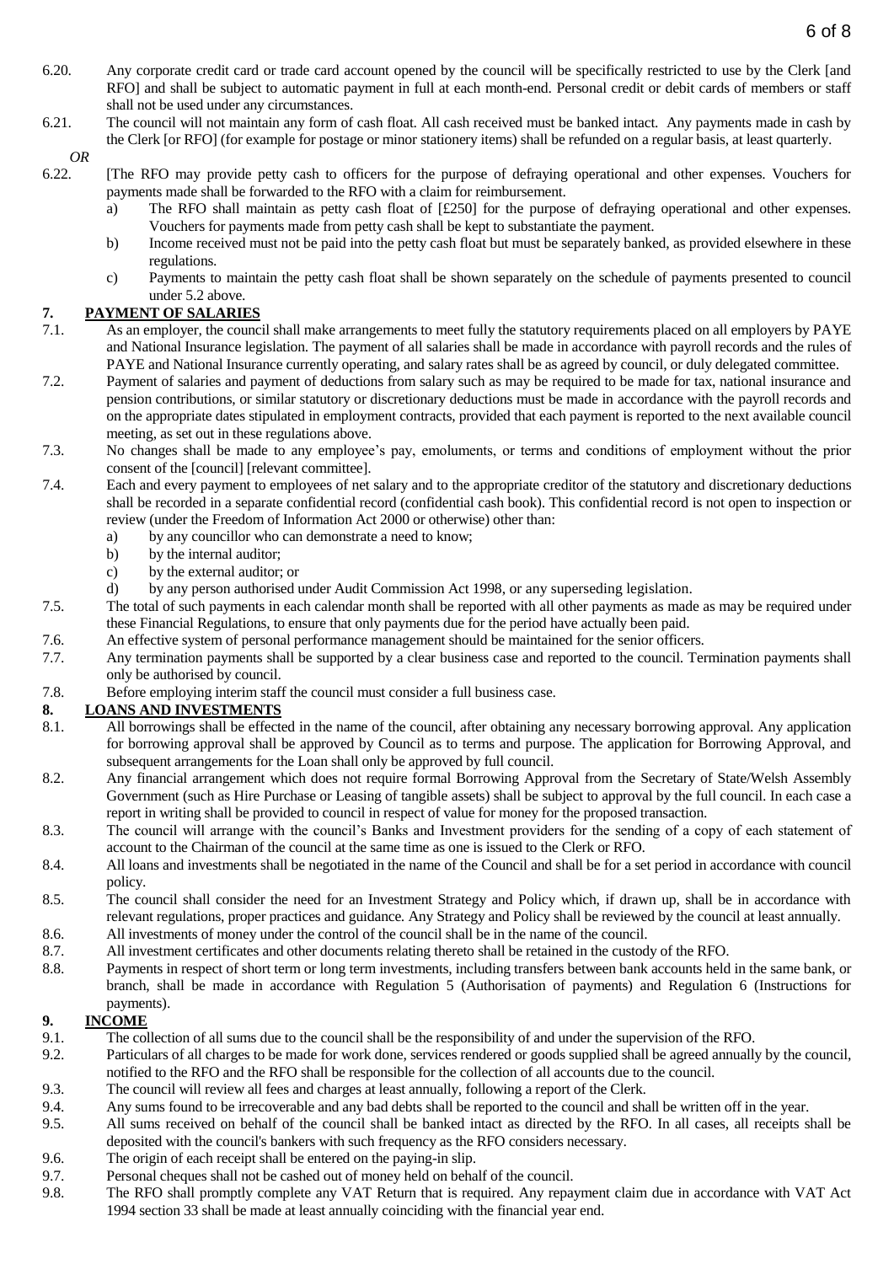- 6.20. Any corporate credit card or trade card account opened by the council will be specifically restricted to use by the Clerk [and RFO] and shall be subject to automatic payment in full at each month-end. Personal credit or debit cards of members or staff shall not be used under any circumstances.
- 6.21. The council will not maintain any form of cash float. All cash received must be banked intact. Any payments made in cash by the Clerk [or RFO] (for example for postage or minor stationery items) shall be refunded on a regular basis, at least quarterly.

# *OR*

- 6.22. [The RFO may provide petty cash to officers for the purpose of defraying operational and other expenses. Vouchers for payments made shall be forwarded to the RFO with a claim for reimbursement.
	- a) The RFO shall maintain as petty cash float of [£250] for the purpose of defraying operational and other expenses. Vouchers for payments made from petty cash shall be kept to substantiate the payment.
	- b) Income received must not be paid into the petty cash float but must be separately banked, as provided elsewhere in these regulations.
	- c) Payments to maintain the petty cash float shall be shown separately on the schedule of payments presented to council under 5.2 above.

## <span id="page-5-0"></span>**7. PAYMENT OF SALARIES**

- 7.1. As an employer, the council shall make arrangements to meet fully the statutory requirements placed on all employers by PAYE and National Insurance legislation. The payment of all salaries shall be made in accordance with payroll records and the rules of PAYE and National Insurance currently operating, and salary rates shall be as agreed by council, or duly delegated committee.
- 7.2. Payment of salaries and payment of deductions from salary such as may be required to be made for tax, national insurance and pension contributions, or similar statutory or discretionary deductions must be made in accordance with the payroll records and on the appropriate dates stipulated in employment contracts, provided that each payment is reported to the next available council meeting, as set out in these regulations above.
- 7.3. No changes shall be made to any employee's pay, emoluments, or terms and conditions of employment without the prior consent of the [council] [relevant committee].
- 7.4. Each and every payment to employees of net salary and to the appropriate creditor of the statutory and discretionary deductions shall be recorded in a separate confidential record (confidential cash book). This confidential record is not open to inspection or review (under the Freedom of Information Act 2000 or otherwise) other than:
	- a) by any councillor who can demonstrate a need to know;
	- b) by the internal auditor;
	- c) by the external auditor; or
	- d) by any person authorised under Audit Commission Act 1998, or any superseding legislation.
- 7.5. The total of such payments in each calendar month shall be reported with all other payments as made as may be required under these Financial Regulations, to ensure that only payments due for the period have actually been paid.
- 7.6. An effective system of personal performance management should be maintained for the senior officers.
- 7.7. Any termination payments shall be supported by a clear business case and reported to the council. Termination payments shall only be authorised by council.
- 7.8. Before employing interim staff the council must consider a full business case.

# <span id="page-5-1"></span>**8. LOANS AND INVESTMENTS**

- 8.1. All borrowings shall be effected in the name of the council, after obtaining any necessary borrowing approval. Any application for borrowing approval shall be approved by Council as to terms and purpose. The application for Borrowing Approval, and subsequent arrangements for the Loan shall only be approved by full council.
- 8.2. Any financial arrangement which does not require formal Borrowing Approval from the Secretary of State/Welsh Assembly Government (such as Hire Purchase or Leasing of tangible assets) shall be subject to approval by the full council. In each case a report in writing shall be provided to council in respect of value for money for the proposed transaction.
- 8.3. The council will arrange with the council's Banks and Investment providers for the sending of a copy of each statement of account to the Chairman of the council at the same time as one is issued to the Clerk or RFO.
- 8.4. All loans and investments shall be negotiated in the name of the Council and shall be for a set period in accordance with council policy.
- 8.5. The council shall consider the need for an Investment Strategy and Policy which, if drawn up, shall be in accordance with relevant regulations, proper practices and guidance. Any Strategy and Policy shall be reviewed by the council at least annually.
- 8.6. All investments of money under the control of the council shall be in the name of the council.
- 8.7. All investment certificates and other documents relating thereto shall be retained in the custody of the RFO.
- 8.8. Payments in respect of short term or long term investments, including transfers between bank accounts held in the same bank, or branch, shall be made in accordance with Regulation 5 (Authorisation of payments) and Regulation 6 (Instructions for payments).

# <span id="page-5-2"></span>**9. INCOME**

- 9.1. The collection of all sums due to the council shall be the responsibility of and under the supervision of the RFO.
- 9.2. Particulars of all charges to be made for work done, services rendered or goods supplied shall be agreed annually by the council, notified to the RFO and the RFO shall be responsible for the collection of all accounts due to the council.
- 9.3. The council will review all fees and charges at least annually, following a report of the Clerk.
- 9.4. Any sums found to be irrecoverable and any bad debts shall be reported to the council and shall be written off in the year.
- 9.5. All sums received on behalf of the council shall be banked intact as directed by the RFO. In all cases, all receipts shall be deposited with the council's bankers with such frequency as the RFO considers necessary.
- 9.6. The origin of each receipt shall be entered on the paying-in slip.
- 9.7. Personal cheques shall not be cashed out of money held on behalf of the council.
- 9.8. The RFO shall promptly complete any VAT Return that is required. Any repayment claim due in accordance with VAT Act 1994 section 33 shall be made at least annually coinciding with the financial year end.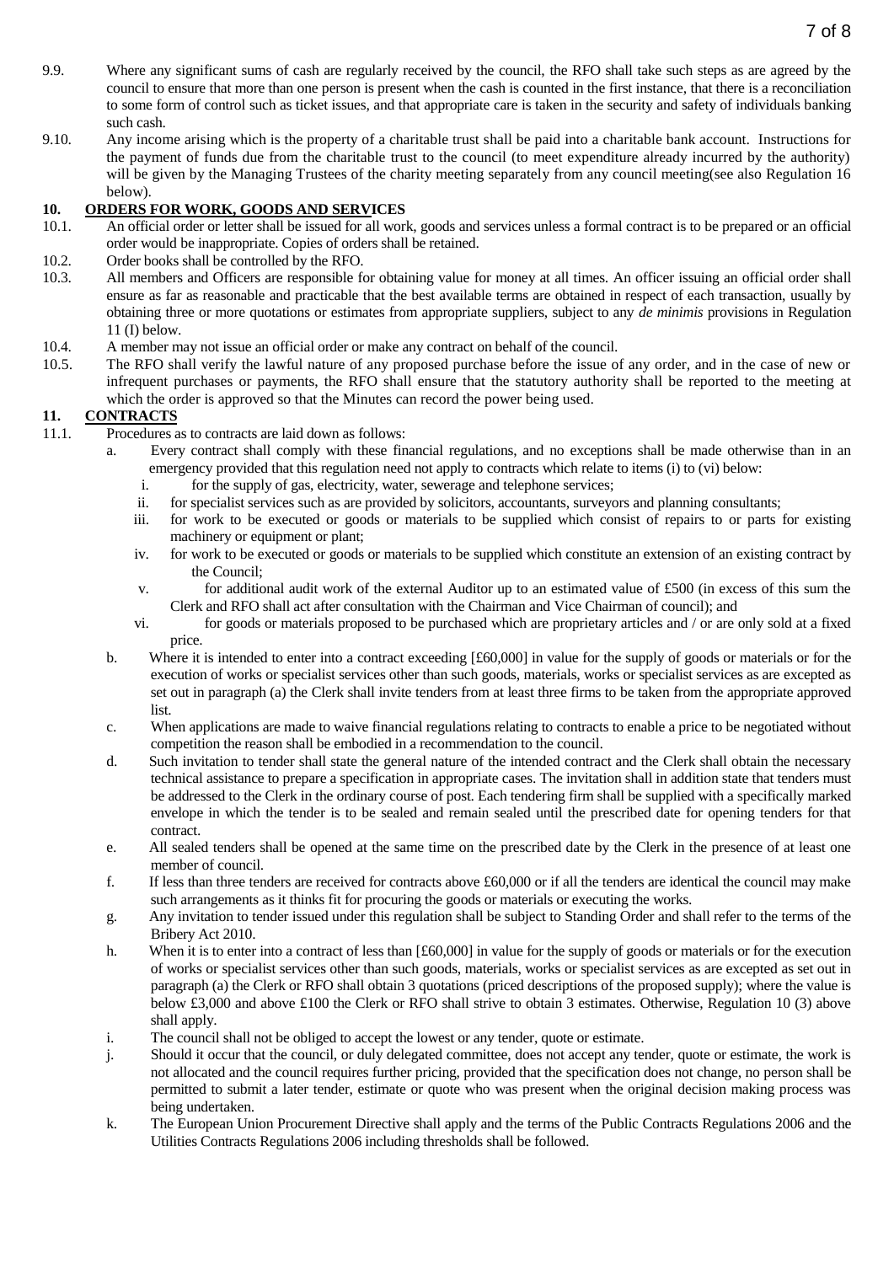- 9.9. Where any significant sums of cash are regularly received by the council, the RFO shall take such steps as are agreed by the council to ensure that more than one person is present when the cash is counted in the first instance, that there is a reconciliation to some form of control such as ticket issues, and that appropriate care is taken in the security and safety of individuals banking such cash.
- 9.10. Any income arising which is the property of a charitable trust shall be paid into a charitable bank account. Instructions for the payment of funds due from the charitable trust to the council (to meet expenditure already incurred by the authority) will be given by the Managing Trustees of the charity meeting separately from any council meeting(see also Regulation 16 below).

# <span id="page-6-0"></span>10. **ORDERS FOR WORK, GOODS AND SERVICES**<br>10.1. An official order or letter shall be issued for all world

- An official order or letter shall be issued for all work, goods and services unless a formal contract is to be prepared or an official order would be inappropriate. Copies of orders shall be retained.
- 10.2. Order books shall be controlled by the RFO.
- 10.3. All members and Officers are responsible for obtaining value for money at all times. An officer issuing an official order shall ensure as far as reasonable and practicable that the best available terms are obtained in respect of each transaction, usually by obtaining three or more quotations or estimates from appropriate suppliers, subject to any *de minimis* provisions in Regulation 11 (I) below.
- 10.4. A member may not issue an official order or make any contract on behalf of the council.
- 10.5. The RFO shall verify the lawful nature of any proposed purchase before the issue of any order, and in the case of new or infrequent purchases or payments, the RFO shall ensure that the statutory authority shall be reported to the meeting at which the order is approved so that the Minutes can record the power being used.

#### <span id="page-6-1"></span>**11. CONTRACTS**

- 11.1. Procedures as to contracts are laid down as follows:
	- Every contract shall comply with these financial regulations, and no exceptions shall be made otherwise than in an emergency provided that this regulation need not apply to contracts which relate to items (i) to (vi) below:
		- i. for the supply of gas, electricity, water, sewerage and telephone services;
		- ii. for specialist services such as are provided by solicitors, accountants, surveyors and planning consultants;
		- iii. for work to be executed or goods or materials to be supplied which consist of repairs to or parts for existing machinery or equipment or plant;
		- iv. for work to be executed or goods or materials to be supplied which constitute an extension of an existing contract by the Council;
		- v. for additional audit work of the external Auditor up to an estimated value of £500 (in excess of this sum the Clerk and RFO shall act after consultation with the Chairman and Vice Chairman of council); and
		- vi. for goods or materials proposed to be purchased which are proprietary articles and / or are only sold at a fixed price.
	- b. Where it is intended to enter into a contract exceeding [£60,000] in value for the supply of goods or materials or for the execution of works or specialist services other than such goods, materials, works or specialist services as are excepted as set out in paragraph (a) the Clerk shall invite tenders from at least three firms to be taken from the appropriate approved list.
	- c. When applications are made to waive financial regulations relating to contracts to enable a price to be negotiated without competition the reason shall be embodied in a recommendation to the council.
	- d. Such invitation to tender shall state the general nature of the intended contract and the Clerk shall obtain the necessary technical assistance to prepare a specification in appropriate cases. The invitation shall in addition state that tenders must be addressed to the Clerk in the ordinary course of post. Each tendering firm shall be supplied with a specifically marked envelope in which the tender is to be sealed and remain sealed until the prescribed date for opening tenders for that contract.
	- e. All sealed tenders shall be opened at the same time on the prescribed date by the Clerk in the presence of at least one member of council.
	- f. If less than three tenders are received for contracts above  $\text{\pounds}60,000$  or if all the tenders are identical the council may make such arrangements as it thinks fit for procuring the goods or materials or executing the works.
	- g. Any invitation to tender issued under this regulation shall be subject to Standing Order and shall refer to the terms of the Bribery Act 2010.
	- h. When it is to enter into a contract of less than [£60,000] in value for the supply of goods or materials or for the execution of works or specialist services other than such goods, materials, works or specialist services as are excepted as set out in paragraph (a) the Clerk or RFO shall obtain 3 quotations (priced descriptions of the proposed supply); where the value is below £3,000 and above £100 the Clerk or RFO shall strive to obtain 3 estimates. Otherwise, Regulation 10 (3) above shall apply.
	- i. The council shall not be obliged to accept the lowest or any tender, quote or estimate.
	- j. Should it occur that the council, or duly delegated committee, does not accept any tender, quote or estimate, the work is not allocated and the council requires further pricing, provided that the specification does not change, no person shall be permitted to submit a later tender, estimate or quote who was present when the original decision making process was being undertaken.
	- k. The European Union Procurement Directive shall apply and the terms of the Public Contracts Regulations 2006 and the Utilities Contracts Regulations 2006 including thresholds shall be followed.